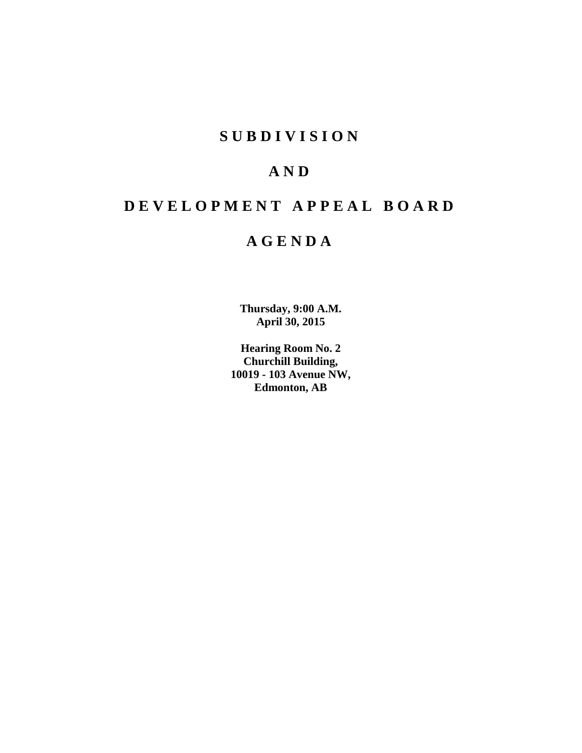# **S U B D I V I S I O N**

# **A N D**

# **D E V E L O P M E N T A P P E A L B O A R D**

# **A G E N D A**

**Thursday, 9:00 A.M. April 30, 2015**

**Hearing Room No. 2 Churchill Building, 10019 - 103 Avenue NW, Edmonton, AB**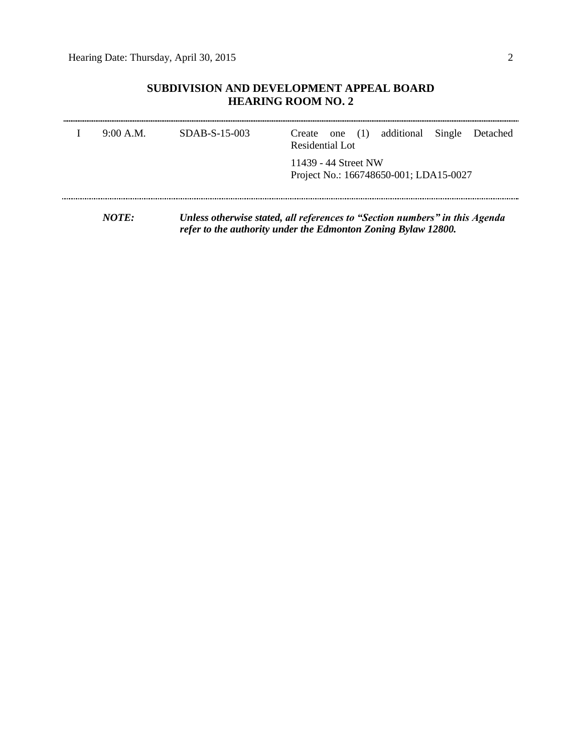## **SUBDIVISION AND DEVELOPMENT APPEAL BOARD HEARING ROOM NO. 2**

| 9:00 A.M.    | $SDAB-S-15-003$ | Create one (1) additional Single<br>Detached<br>Residential Lot             |
|--------------|-----------------|-----------------------------------------------------------------------------|
|              |                 | 11439 - 44 Street NW<br>Project No.: 166748650-001; LDA15-0027              |
| <i>NOTE:</i> |                 | Unless otherwise stated, all references to "Section numbers" in this Agenda |

*refer to the authority under the Edmonton Zoning Bylaw 12800.*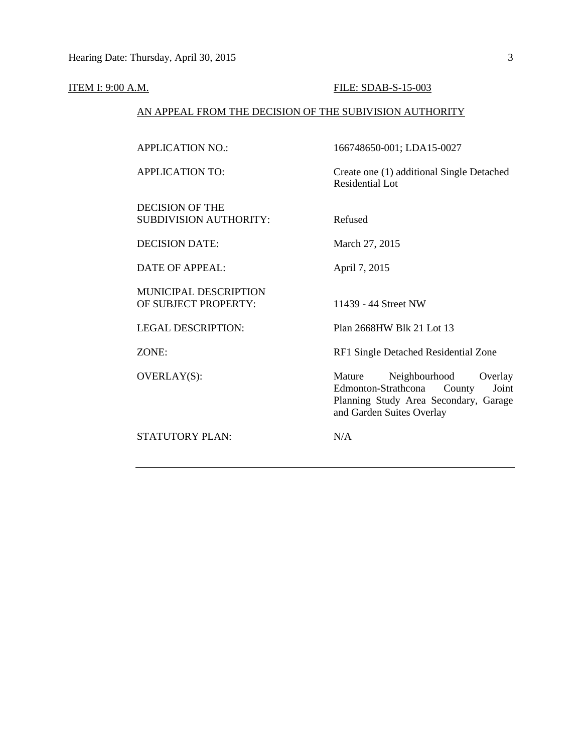#### **ITEM I: 9:00 A.M. FILE: SDAB-S-15-003**

### AN APPEAL FROM THE DECISION OF THE SUBIVISION AUTHORITY

APPLICATION NO.: 166748650-001; LDA15-0027 APPLICATION TO: Create one (1) additional Single Detached Residential Lot DECISION OF THE SUBDIVISION AUTHORITY: Refused DECISION DATE: March 27, 2015 DATE OF APPEAL: April 7, 2015 MUNICIPAL DESCRIPTION OF SUBJECT PROPERTY: 11439 - 44 Street NW LEGAL DESCRIPTION: Plan 2668HW Blk 21 Lot 13 ZONE: RF1 Single Detached Residential Zone OVERLAY(S): Mature Neighbourhood Overlay<br>Edmonton-Strathcona County Joint Edmonton-Strathcona County Joint Planning Study Area Secondary, Garage and Garden Suites Overlay STATUTORY PLAN: N/A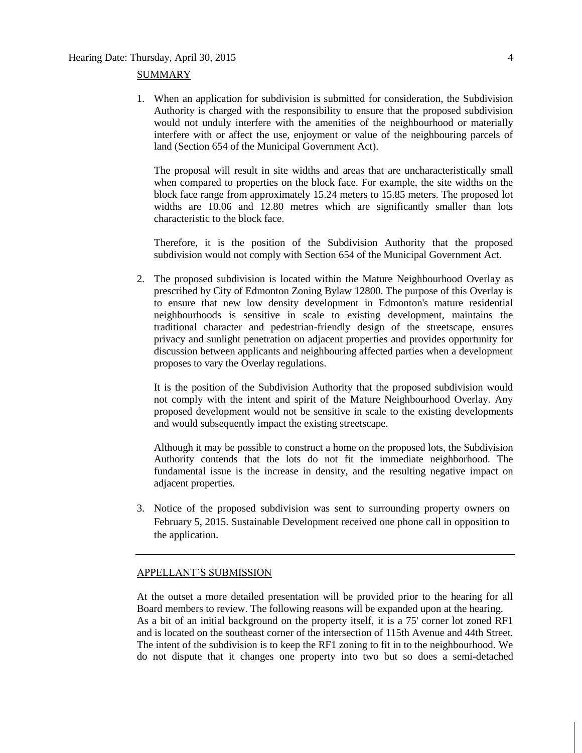#### SUMMARY

1. When an application for subdivision is submitted for consideration, the Subdivision Authority is charged with the responsibility to ensure that the proposed subdivision would not unduly interfere with the amenities of the neighbourhood or materially interfere with or affect the use, enjoyment or value of the neighbouring parcels of land (Section 654 of the Municipal Government Act).

The proposal will result in site widths and areas that are uncharacteristically small when compared to properties on the block face. For example, the site widths on the block face range from approximately 15.24 meters to 15.85 meters. The proposed lot widths are 10.06 and 12.80 metres which are significantly smaller than lots characteristic to the block face.

Therefore, it is the position of the Subdivision Authority that the proposed subdivision would not comply with Section 654 of the Municipal Government Act.

2. The proposed subdivision is located within the Mature Neighbourhood Overlay as prescribed by City of Edmonton Zoning Bylaw 12800. The purpose of this Overlay is to ensure that new low density development in Edmonton's mature residential neighbourhoods is sensitive in scale to existing development, maintains the traditional character and pedestrian-friendly design of the streetscape, ensures privacy and sunlight penetration on adjacent properties and provides opportunity for discussion between applicants and neighbouring affected parties when a development proposes to vary the Overlay regulations.

It is the position of the Subdivision Authority that the proposed subdivision would not comply with the intent and spirit of the Mature Neighbourhood Overlay. Any proposed development would not be sensitive in scale to the existing developments and would subsequently impact the existing streetscape.

Although it may be possible to construct a home on the proposed lots, the Subdivision Authority contends that the lots do not fit the immediate neighborhood. The fundamental issue is the increase in density, and the resulting negative impact on adjacent properties.

3. Notice of the proposed subdivision was sent to surrounding property owners on February 5, 2015. Sustainable Development received one phone call in opposition to the application.

#### APPELLANT'S SUBMISSION

At the outset a more detailed presentation will be provided prior to the hearing for all Board members to review. The following reasons will be expanded upon at the hearing. As a bit of an initial background on the property itself, it is a 75' corner lot zoned RF1 and is located on the southeast corner of the intersection of 115th Avenue and 44th Street. The intent of the subdivision is to keep the RF1 zoning to fit in to the neighbourhood. We do not dispute that it changes one property into two but so does a semi-detached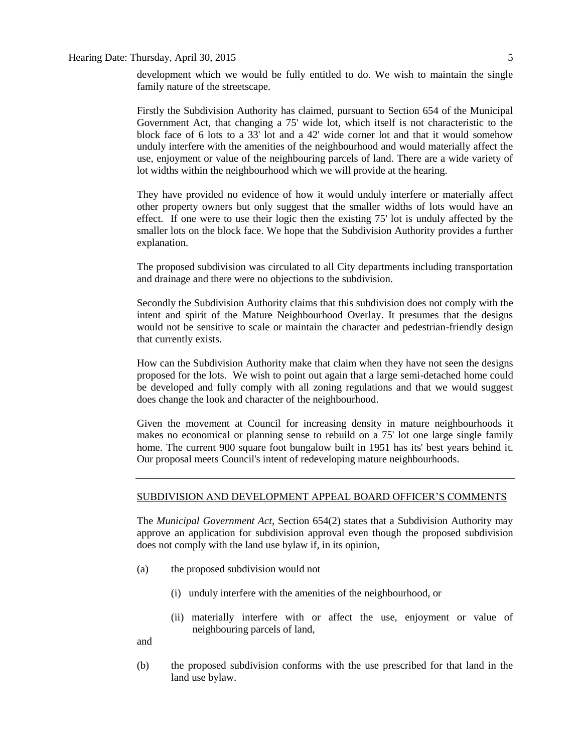development which we would be fully entitled to do. We wish to maintain the single family nature of the streetscape.

Firstly the Subdivision Authority has claimed, pursuant to Section 654 of the Municipal Government Act, that changing a 75' wide lot, which itself is not characteristic to the block face of 6 lots to a 33' lot and a 42' wide corner lot and that it would somehow unduly interfere with the amenities of the neighbourhood and would materially affect the use, enjoyment or value of the neighbouring parcels of land. There are a wide variety of lot widths within the neighbourhood which we will provide at the hearing.

They have provided no evidence of how it would unduly interfere or materially affect other property owners but only suggest that the smaller widths of lots would have an effect. If one were to use their logic then the existing 75' lot is unduly affected by the smaller lots on the block face. We hope that the Subdivision Authority provides a further explanation.

The proposed subdivision was circulated to all City departments including transportation and drainage and there were no objections to the subdivision.

Secondly the Subdivision Authority claims that this subdivision does not comply with the intent and spirit of the Mature Neighbourhood Overlay. It presumes that the designs would not be sensitive to scale or maintain the character and pedestrian-friendly design that currently exists.

How can the Subdivision Authority make that claim when they have not seen the designs proposed for the lots. We wish to point out again that a large semi-detached home could be developed and fully comply with all zoning regulations and that we would suggest does change the look and character of the neighbourhood.

Given the movement at Council for increasing density in mature neighbourhoods it makes no economical or planning sense to rebuild on a 75' lot one large single family home. The current 900 square foot bungalow built in 1951 has its' best years behind it. Our proposal meets Council's intent of redeveloping mature neighbourhoods.

#### SUBDIVISION AND DEVELOPMENT APPEAL BOARD OFFICER'S COMMENTS

The *Municipal Government Act*, Section 654(2) states that a Subdivision Authority may approve an application for subdivision approval even though the proposed subdivision does not comply with the land use bylaw if, in its opinion,

- (a) the proposed subdivision would not
	- (i) unduly interfere with the amenities of the neighbourhood, or
	- (ii) materially interfere with or affect the use, enjoyment or value of neighbouring parcels of land,

and

(b) the proposed subdivision conforms with the use prescribed for that land in the land use bylaw.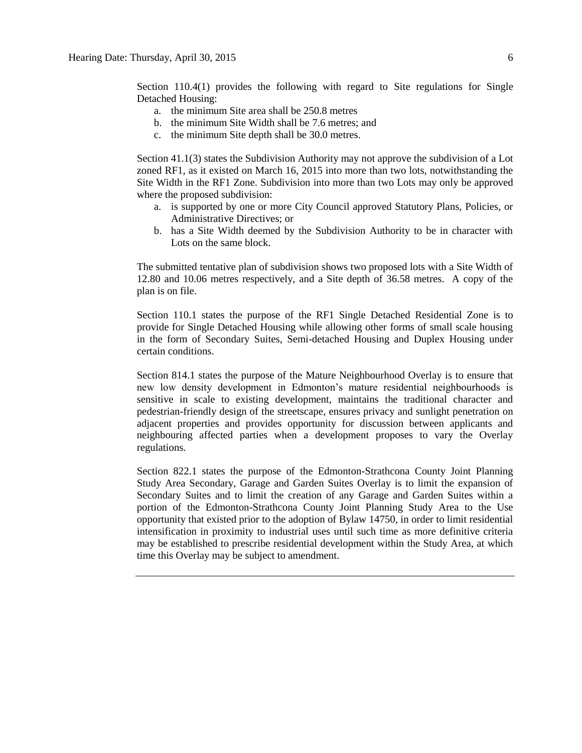Section 110.4(1) provides the following with regard to Site regulations for Single Detached Housing:

- a. the minimum Site area shall be [250.8 me](javascript:void(0);)tres
- b. the minimum Site Width shall be [7.6 me](javascript:void(0);)tres; and
- c. the minimum Site depth shall be [30.0](javascript:void(0);) metres.

Section 41.1(3) states the Subdivision Authority may not approve the subdivision of a Lot zoned RF1, as it existed on March 16, 2015 into more than two lots, notwithstanding the Site Width in the RF1 Zone. Subdivision into more than two Lots may only be approved where the proposed subdivision:

- a. is supported by one or more City Council approved Statutory Plans, Policies, or Administrative Directives; or
- b. has a Site Width deemed by the Subdivision Authority to be in character with Lots on the same block.

The submitted tentative plan of subdivision shows two proposed lots with a Site Width of 12.80 and 10.06 metres respectively, and a Site depth of 36.58 metres. A copy of the plan is on file.

Section 110.1 states the purpose of the RF1 Single Detached Residential Zone is to provide for Single Detached Housing while allowing other forms of small scale housing in the form of Secondary Suites, Semi-detached Housing and Duplex Housing under certain conditions.

Section 814.1 states the purpose of the Mature Neighbourhood Overlay is to ensure that new low density development in Edmonton's mature residential neighbourhoods is sensitive in scale to existing development, maintains the traditional character and pedestrian-friendly design of the streetscape, ensures privacy and sunlight penetration on adjacent properties and provides opportunity for discussion between applicants and neighbouring affected parties when a development proposes to vary the Overlay regulations.

Section 822.1 states the purpose of the Edmonton-Strathcona County Joint Planning Study Area Secondary, Garage and Garden Suites Overlay is to limit the expansion of Secondary Suites and to limit the creation of any Garage and Garden Suites within a portion of the Edmonton-Strathcona County Joint Planning Study Area to the Use opportunity that existed prior to the adoption of Bylaw 14750, in order to limit residential intensification in proximity to industrial uses until such time as more definitive criteria may be established to prescribe residential development within the Study Area, at which time this Overlay may be subject to amendment.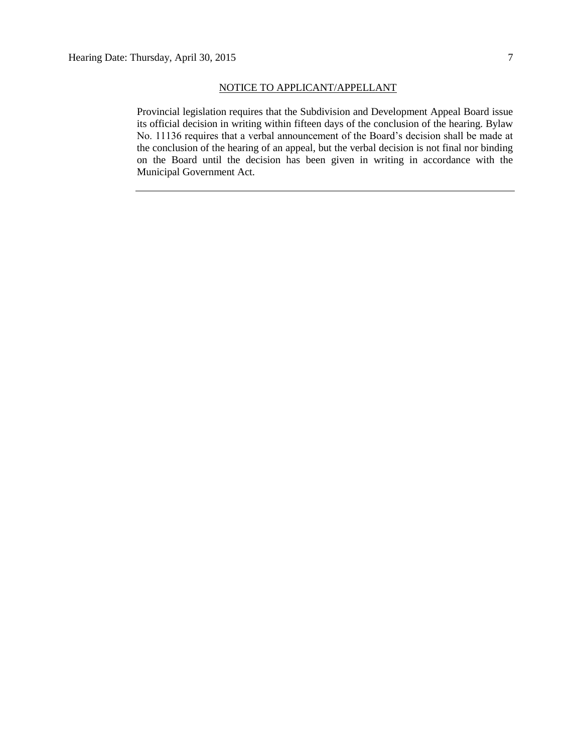#### NOTICE TO APPLICANT/APPELLANT

Provincial legislation requires that the Subdivision and Development Appeal Board issue its official decision in writing within fifteen days of the conclusion of the hearing. Bylaw No. 11136 requires that a verbal announcement of the Board's decision shall be made at the conclusion of the hearing of an appeal, but the verbal decision is not final nor binding on the Board until the decision has been given in writing in accordance with the Municipal Government Act.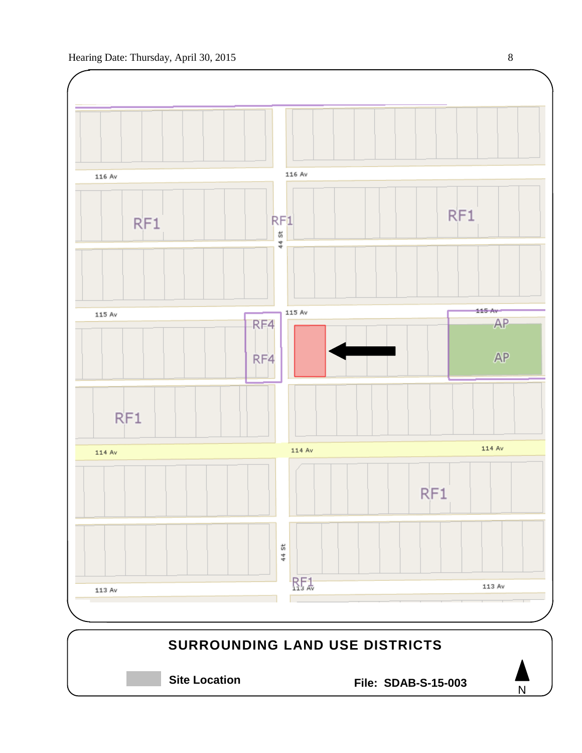